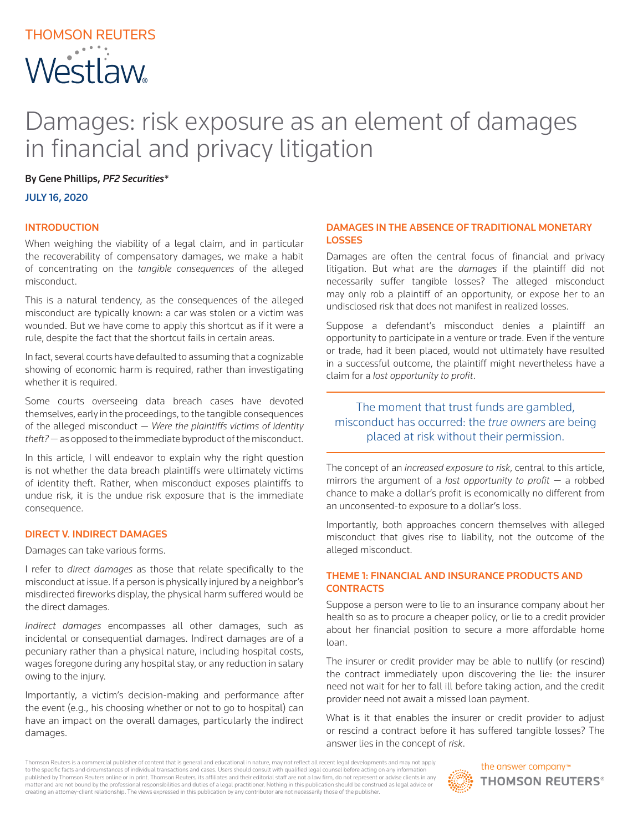# THOMSON REUTERS Westlaw

## Damages: risk exposure as an element of damages in financial and privacy litigation

By Gene Phillips, *PF2 Securities\**

JULY 16, 2020

#### INTRODUCTION

When weighing the viability of a legal claim, and in particular the recoverability of compensatory damages, we make a habit of concentrating on the *tangible consequences* of the alleged misconduct.

This is a natural tendency, as the consequences of the alleged misconduct are typically known: a car was stolen or a victim was wounded. But we have come to apply this shortcut as if it were a rule, despite the fact that the shortcut fails in certain areas.

In fact, several courts have defaulted to assuming that a cognizable showing of economic harm is required, rather than investigating whether it is required.

Some courts overseeing data breach cases have devoted themselves, early in the proceedings, to the tangible consequences of the alleged misconduct — *Were the plaintiffs victims of identity theft?* — as opposed to the immediate byproduct of the misconduct.

In this article, I will endeavor to explain why the right question is not whether the data breach plaintiffs were ultimately victims of identity theft. Rather, when misconduct exposes plaintiffs to undue risk, it is the undue risk exposure that is the immediate consequence.

#### DIRECT V. INDIRECT DAMAGES

#### Damages can take various forms.

I refer to *direct damages* as those that relate specifically to the misconduct at issue. If a person is physically injured by a neighbor's misdirected fireworks display, the physical harm suffered would be the direct damages.

*Indirect damages* encompasses all other damages, such as incidental or consequential damages. Indirect damages are of a pecuniary rather than a physical nature, including hospital costs, wages foregone during any hospital stay, or any reduction in salary owing to the injury.

Importantly, a victim's decision-making and performance after the event (e.g., his choosing whether or not to go to hospital) can have an impact on the overall damages, particularly the indirect damages.

#### DAMAGES IN THE ABSENCE OF TRADITIONAL MONETARY LOSSES

Damages are often the central focus of financial and privacy litigation. But what are the *damages* if the plaintiff did not necessarily suffer tangible losses? The alleged misconduct may only rob a plaintiff of an opportunity, or expose her to an undisclosed risk that does not manifest in realized losses.

Suppose a defendant's misconduct denies a plaintiff an opportunity to participate in a venture or trade. Even if the venture or trade, had it been placed, would not ultimately have resulted in a successful outcome, the plaintiff might nevertheless have a claim for a *lost opportunity to profit*.

### The moment that trust funds are gambled, misconduct has occurred: the *true owners* are being placed at risk without their permission.

The concept of an *increased exposure to risk*, central to this article, mirrors the argument of a *lost opportunity to profit* — a robbed chance to make a dollar's profit is economically no different from an unconsented-to exposure to a dollar's loss.

Importantly, both approaches concern themselves with alleged misconduct that gives rise to liability, not the outcome of the alleged misconduct.

#### THEME 1: FINANCIAL AND INSURANCE PRODUCTS AND **CONTRACTS**

Suppose a person were to lie to an insurance company about her health so as to procure a cheaper policy, or lie to a credit provider about her financial position to secure a more affordable home loan.

The insurer or credit provider may be able to nullify (or rescind) the contract immediately upon discovering the lie: the insurer need not wait for her to fall ill before taking action, and the credit provider need not await a missed loan payment.

What is it that enables the insurer or credit provider to adjust or rescind a contract before it has suffered tangible losses? The answer lies in the concept of *risk*.

Thomson Reuters is a commercial publisher of content that is general and educational in nature, may not reflect all recent legal developments and may not apply to the specific facts and circumstances of individual transactions and cases. Users should consult with qualified legal counsel before acting on any informatior published by Thomson Reuters online or in print. Thomson Reuters, its affiliates and their editorial staff are not a law firm, do not represent or advise clients in any matter and are not bound by the professional responsibilities and duties of a legal practitioner. Nothing in this publication should be construed as legal advice or creating an attorney-client relationship. The views expressed in this publication by any contributor are not necessarily those of the publisher.



the answer company™ **THOMSON REUTERS®**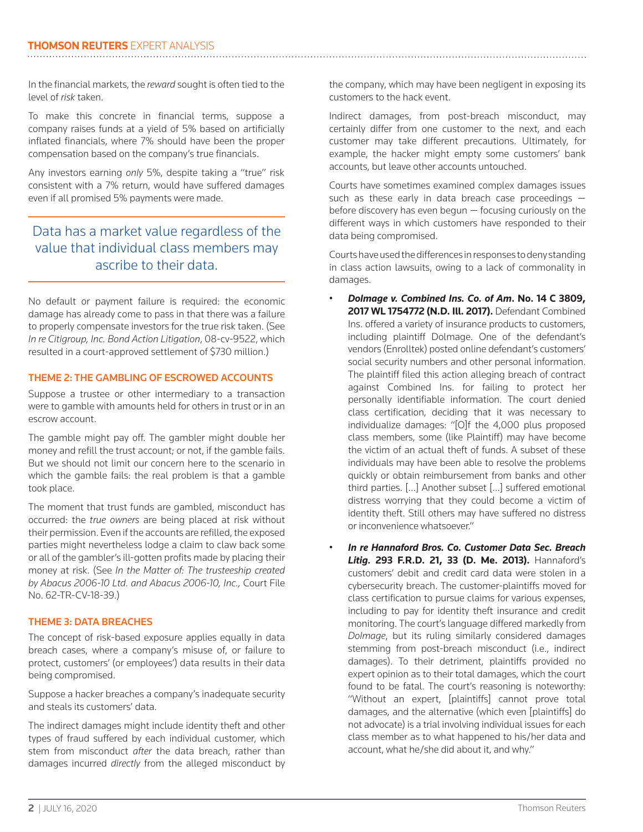In the financial markets, the *reward* sought is often tied to the level of *risk* taken.

To make this concrete in financial terms, suppose a company raises funds at a yield of 5% based on artificially inflated financials, where 7% should have been the proper compensation based on the company's true financials.

Any investors earning *only* 5%, despite taking a "true" risk consistent with a 7% return, would have suffered damages even if all promised 5% payments were made.

## Data has a market value regardless of the value that individual class members may ascribe to their data.

No default or payment failure is required: the economic damage has already come to pass in that there was a failure to properly compensate investors for the true risk taken. (See *In re Citigroup, Inc. Bond Action Litigation*, 08-cv-9522, which resulted in a court-approved settlement of \$730 million.)

#### THEME 2: THE GAMBLING OF ESCROWED ACCOUNTS

Suppose a trustee or other intermediary to a transaction were to gamble with amounts held for others in trust or in an escrow account.

The gamble might pay off. The gambler might double her money and refill the trust account; or not, if the gamble fails. But we should not limit our concern here to the scenario in which the gamble fails: the real problem is that a gamble took place.

The moment that trust funds are gambled, misconduct has occurred: the *true owners* are being placed at risk without their permission. Even if the accounts are refilled, the exposed parties might nevertheless lodge a claim to claw back some or all of the gambler's ill-gotten profits made by placing their money at risk. (See *In the Matter of: The trusteeship created by Abacus 2006-10 Ltd. and Abacus 2006-10, Inc.,* Court File No. 62-TR-CV-18-39.)

#### THEME 3: DATA BREACHES

The concept of risk-based exposure applies equally in data breach cases, where a company's misuse of, or failure to protect, customers' (or employees') data results in their data being compromised.

Suppose a hacker breaches a company's inadequate security and steals its customers' data.

The indirect damages might include identity theft and other types of fraud suffered by each individual customer, which stem from misconduct *after* the data breach, rather than damages incurred *directly* from the alleged misconduct by

the company, which may have been negligent in exposing its customers to the hack event.

Indirect damages, from post-breach misconduct, may certainly differ from one customer to the next, and each customer may take different precautions. Ultimately, for example, the hacker might empty some customers' bank accounts, but leave other accounts untouched.

Courts have sometimes examined complex damages issues such as these early in data breach case proceedings before discovery has even begun — focusing curiously on the different ways in which customers have responded to their data being compromised.

Courts have used the differences in responses to deny standing in class action lawsuits, owing to a lack of commonality in damages.

- *Dolmage v. Combined Ins. Co. of Am***. No. 14 C 3809, 2017 WL 1754772 (N.D. Ill. 2017).** Defendant Combined Ins. offered a variety of insurance products to customers, including plaintiff Dolmage. One of the defendant's vendors (Enrolltek) posted online defendant's customers' social security numbers and other personal information. The plaintiff filed this action alleging breach of contract against Combined Ins. for failing to protect her personally identifiable information. The court denied class certification, deciding that it was necessary to individualize damages: "[O]f the 4,000 plus proposed class members, some (like Plaintiff) may have become the victim of an actual theft of funds. A subset of these individuals may have been able to resolve the problems quickly or obtain reimbursement from banks and other third parties. […] Another subset […] suffered emotional distress worrying that they could become a victim of identity theft. Still others may have suffered no distress or inconvenience whatsoever."
- *In re Hannaford Bros. Co. Customer Data Sec. Breach Litig.* **293 F.R.D. 21, 33 (D. Me. 2013).** Hannaford's customers' debit and credit card data were stolen in a cybersecurity breach. The customer-plaintiffs moved for class certification to pursue claims for various expenses, including to pay for identity theft insurance and credit monitoring. The court's language differed markedly from *Dolmage*, but its ruling similarly considered damages stemming from post-breach misconduct (i.e., indirect damages). To their detriment, plaintiffs provided no expert opinion as to their total damages, which the court found to be fatal. The court's reasoning is noteworthy: "Without an expert, [plaintiffs] cannot prove total damages, and the alternative (which even [plaintiffs] do not advocate) is a trial involving individual issues for each class member as to what happened to his/her data and account, what he/she did about it, and why."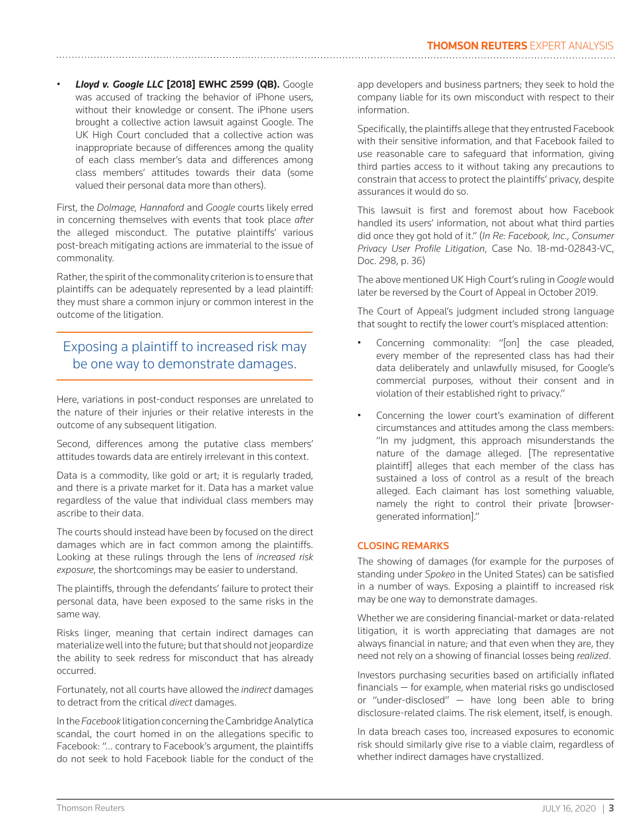• *Lloyd v. Google LLC* **[2018] EWHC 2599 (QB).** Google was accused of tracking the behavior of iPhone users, without their knowledge or consent. The iPhone users brought a collective action lawsuit against Google. The UK High Court concluded that a collective action was inappropriate because of differences among the quality of each class member's data and differences among class members' attitudes towards their data (some valued their personal data more than others).

First, the *Dolmage, Hannaford* and *Google* courts likely erred in concerning themselves with events that took place *after* the alleged misconduct. The putative plaintiffs' various post-breach mitigating actions are immaterial to the issue of commonality.

Rather, the spirit of the commonality criterion is to ensure that plaintiffs can be adequately represented by a lead plaintiff: they must share a common injury or common interest in the outcome of the litigation.

## Exposing a plaintiff to increased risk may be one way to demonstrate damages.

Here, variations in post-conduct responses are unrelated to the nature of their injuries or their relative interests in the outcome of any subsequent litigation.

Second, differences among the putative class members' attitudes towards data are entirely irrelevant in this context.

Data is a commodity, like gold or art; it is regularly traded, and there is a private market for it. Data has a market value regardless of the value that individual class members may ascribe to their data.

The courts should instead have been by focused on the direct damages which are in fact common among the plaintiffs. Looking at these rulings through the lens of *increased risk exposure*, the shortcomings may be easier to understand.

The plaintiffs, through the defendants' failure to protect their personal data, have been exposed to the same risks in the same way.

Risks linger, meaning that certain indirect damages can materialize well into the future; but that should not jeopardize the ability to seek redress for misconduct that has already occurred.

Fortunately, not all courts have allowed the *indirect* damages to detract from the critical *direct* damages.

In the *Facebook* litigation concerning the Cambridge Analytica scandal, the court homed in on the allegations specific to Facebook: "… contrary to Facebook's argument, the plaintiffs do not seek to hold Facebook liable for the conduct of the app developers and business partners; they seek to hold the company liable for its own misconduct with respect to their information.

Specifically, the plaintiffs allege that they entrusted Facebook with their sensitive information, and that Facebook failed to use reasonable care to safeguard that information, giving third parties access to it without taking any precautions to constrain that access to protect the plaintiffs' privacy, despite assurances it would do so.

This lawsuit is first and foremost about how Facebook handled its users' information, not about what third parties did once they got hold of it." (*In Re: Facebook, Inc., Consumer Privacy User Profile Litigation*, Case No. 18-md-02843-VC, Doc. 298, p. 36)

The above mentioned UK High Court's ruling in *Google* would later be reversed by the Court of Appeal in October 2019.

The Court of Appeal's judgment included strong language that sought to rectify the lower court's misplaced attention:

- Concerning commonality: "[on] the case pleaded, every member of the represented class has had their data deliberately and unlawfully misused, for Google's commercial purposes, without their consent and in violation of their established right to privacy."
- Concerning the lower court's examination of different circumstances and attitudes among the class members: "In my judgment, this approach misunderstands the nature of the damage alleged. [The representative plaintiff] alleges that each member of the class has sustained a loss of control as a result of the breach alleged. Each claimant has lost something valuable, namely the right to control their private [browsergenerated information]."

#### CLOSING REMARKS

The showing of damages (for example for the purposes of standing under *Spokeo* in the United States) can be satisfied in a number of ways. Exposing a plaintiff to increased risk may be one way to demonstrate damages.

Whether we are considering financial-market or data-related litigation, it is worth appreciating that damages are not always financial in nature; and that even when they are, they need not rely on a showing of financial losses being *realized*.

Investors purchasing securities based on artificially inflated financials — for example, when material risks go undisclosed or "under-disclosed" — have long been able to bring disclosure-related claims. The risk element, itself, is enough.

In data breach cases too, increased exposures to economic risk should similarly give rise to a viable claim, regardless of whether indirect damages have crystallized.